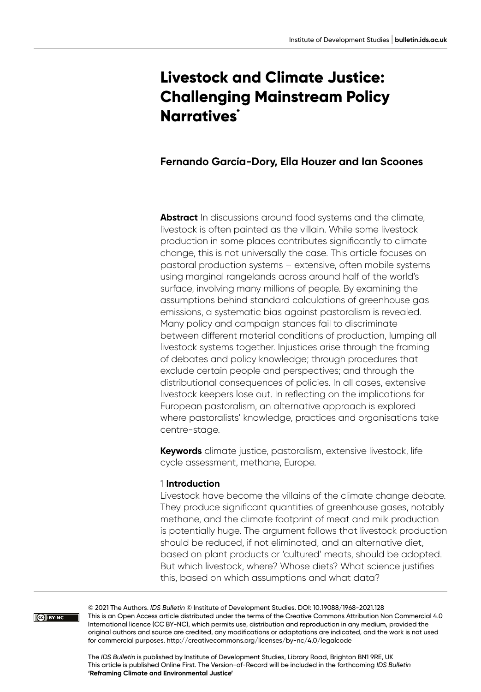# **Livestock and Climate Justice: Challenging Mainstream Policy Narratives\***

# **Fernando García-Dory, Ella Houzer and Ian Scoones**

**Abstract** In discussions around food systems and the climate, livestock is often painted as the villain. While some livestock production in some places contributes significantly to climate change, this is not universally the case. This article focuses on pastoral production systems – extensive, often mobile systems using marginal rangelands across around half of the world's surface, involving many millions of people. By examining the assumptions behind standard calculations of greenhouse gas emissions, a systematic bias against pastoralism is revealed. Many policy and campaign stances fail to discriminate between different material conditions of production, lumping all livestock systems together. Injustices arise through the framing of debates and policy knowledge; through procedures that exclude certain people and perspectives; and through the distributional consequences of policies. In all cases, extensive livestock keepers lose out. In reflecting on the implications for European pastoralism, an alternative approach is explored where pastoralists' knowledge, practices and organisations take centre-stage.

**Keywords** climate justice, pastoralism, extensive livestock, life cycle assessment, methane, Europe.

#### **1 Introduction**

Livestock have become the villains of the climate change debate. They produce significant quantities of greenhouse gases, notably methane, and the climate footprint of meat and milk production is potentially huge. The argument follows that livestock production should be reduced, if not eliminated, and an alternative diet, based on plant products or 'cultured' meats, should be adopted. But which livestock, where? Whose diets? What science justifies this, based on which assumptions and what data?

CO BY-NC

© 2021 The Authors. *IDS Bulletin* © Institute of Development Studies. DOI: [10.19088/1968-2021.128](https://doi.org/10.19088/1968-2021.128) This is an Open Access article distributed under the terms of the Creative Commons Attribution Non Commercial 4.0 International licence (CC BY-NC), which permits use, distribution and reproduction in any medium, provided the original authors and source are credited, any modifications or adaptations are indicated, and the work is not used for commercial purposes.<http://creativecommons.org/licenses/by-nc/4.0/legalcode>

The *IDS Bulletin* is published by Institute of Development Studies, Library Road, Brighton BN1 9RE, UK This article is published Online First. The Version-of-Record will be included in the forthcoming *IDS Bulletin* **'Reframing Climate and Environmental Justice'**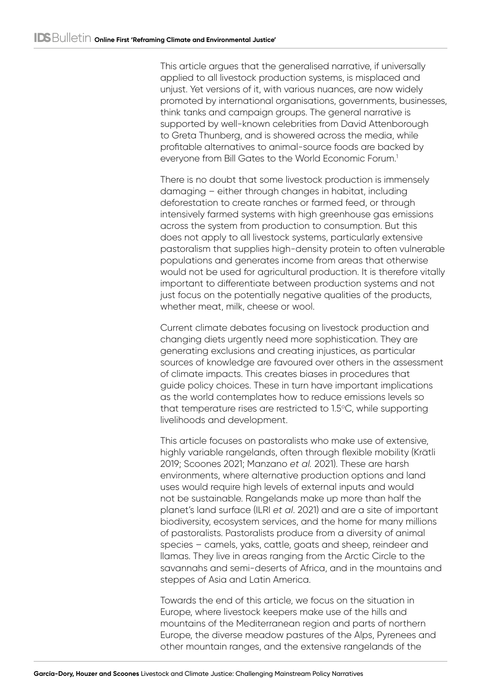This article argues that the generalised narrative, if universally applied to all livestock production systems, is misplaced and unjust. Yet versions of it, with various nuances, are now widely promoted by international organisations, governments, businesses, think tanks and campaign groups. The general narrative is supported by well-known celebrities from David Attenborough to Greta Thunberg, and is showered across the media, while profitable alternatives to animal-source foods are backed by everyone from Bill Gates to the World Economic Forum.<sup>1</sup>

There is no doubt that some livestock production is immensely damaging – either through changes in habitat, including deforestation to create ranches or farmed feed, or through intensively farmed systems with high greenhouse gas emissions across the system from production to consumption. But this does not apply to all livestock systems, particularly extensive pastoralism that supplies high-density protein to often vulnerable populations and generates income from areas that otherwise would not be used for agricultural production. It is therefore vitally important to differentiate between production systems and not just focus on the potentially negative qualities of the products, whether meat, milk, cheese or wool.

Current climate debates focusing on livestock production and changing diets urgently need more sophistication. They are generating exclusions and creating injustices, as particular sources of knowledge are favoured over others in the assessment of climate impacts. This creates biases in procedures that guide policy choices. These in turn have important implications as the world contemplates how to reduce emissions levels so that temperature rises are restricted to  $1.5^{\circ}$ C, while supporting livelihoods and development.

This article focuses on pastoralists who make use of extensive, highly variable rangelands, often through flexible mobility (Krätli 2019; Scoones 2021; Manzano *et al.* 2021). These are harsh environments, where alternative production options and land uses would require high levels of external inputs and would not be sustainable. Rangelands make up more than half the planet's land surface (ILRI *et al*. 2021) and are a site of important biodiversity, ecosystem services, and the home for many millions of pastoralists. Pastoralists produce from a diversity of animal species – camels, yaks, cattle, goats and sheep, reindeer and llamas. They live in areas ranging from the Arctic Circle to the savannahs and semi-deserts of Africa, and in the mountains and steppes of Asia and Latin America.

Towards the end of this article, we focus on the situation in Europe, where livestock keepers make use of the hills and mountains of the Mediterranean region and parts of northern Europe, the diverse meadow pastures of the Alps, Pyrenees and other mountain ranges, and the extensive rangelands of the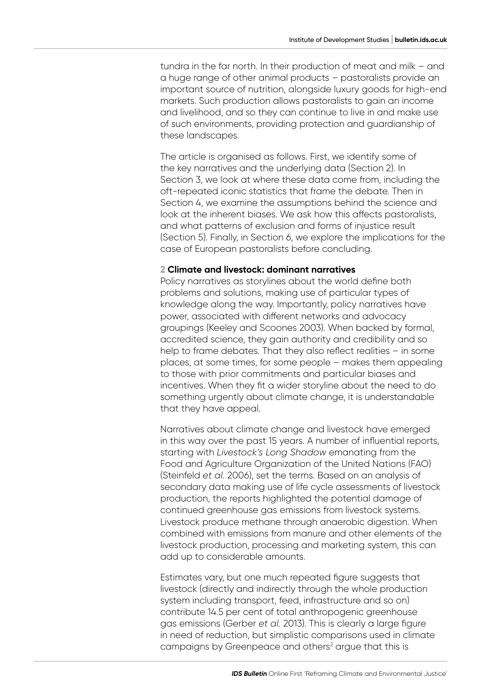tundra in the far north. In their production of meat and milk – and a huge range of other animal products – pastoralists provide an important source of nutrition, alongside luxury goods for high-end markets. Such production allows pastoralists to gain an income and livelihood, and so they can continue to live in and make use of such environments, providing protection and guardianship of these landscapes.

The article is organised as follows. First, we identify some of the key narratives and the underlying data (Section 2). In Section 3, we look at where these data come from, including the oft‑repeated iconic statistics that frame the debate. Then in Section 4, we examine the assumptions behind the science and look at the inherent biases. We ask how this affects pastoralists, and what patterns of exclusion and forms of injustice result (Section 5). Finally, in Section 6, we explore the implications for the case of European pastoralists before concluding.

#### **2 Climate and livestock: dominant narratives**

Policy narratives as storylines about the world define both problems and solutions, making use of particular types of knowledge along the way. Importantly, policy narratives have power, associated with different networks and advocacy groupings (Keeley and Scoones 2003). When backed by formal, accredited science, they gain authority and credibility and so help to frame debates. That they also reflect realities - in some places, at some times, for some people – makes them appealing to those with prior commitments and particular biases and incentives. When they fit a wider storyline about the need to do something urgently about climate change, it is understandable that they have appeal.

Narratives about climate change and livestock have emerged in this way over the past 15 years. A number of influential reports, starting with *Livestock's Long Shadow* emanating from the Food and Agriculture Organization of the United Nations (FAO) (Steinfeld *et al.* 2006), set the terms. Based on an analysis of secondary data making use of life cycle assessments of livestock production, the reports highlighted the potential damage of continued greenhouse gas emissions from livestock systems. Livestock produce methane through anaerobic digestion. When combined with emissions from manure and other elements of the livestock production, processing and marketing system, this can add up to considerable amounts.

Estimates vary, but one much repeated figure suggests that livestock (directly and indirectly through the whole production system including transport, feed, infrastructure and so on) contribute 14.5 per cent of total anthropogenic greenhouse gas emissions (Gerber *et al.* 2013). This is clearly a large figure in need of reduction, but simplistic comparisons used in climate campaigns by Greenpeace and others<sup>2</sup> argue that this is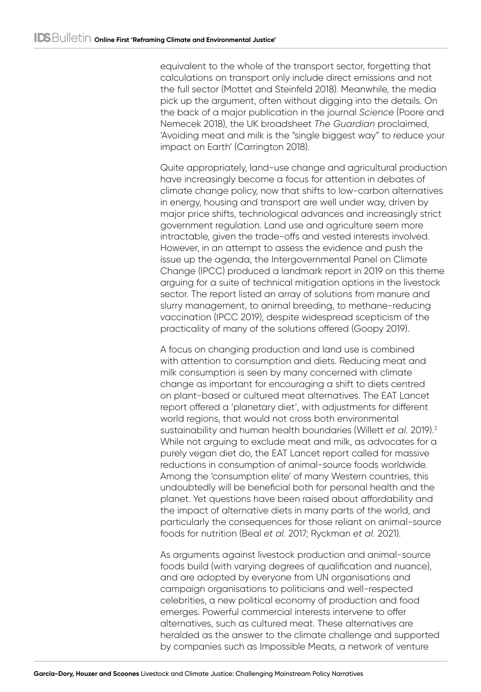equivalent to the whole of the transport sector, forgetting that calculations on transport only include direct emissions and not the full sector (Mottet and Steinfeld 2018). Meanwhile, the media pick up the argument, often without digging into the details. On the back of a major publication in the journal *Science* (Poore and Nemecek 2018), the UK broadsheet *The Guardian* proclaimed, 'Avoiding meat and milk is the "single biggest way" to reduce your impact on Earth' (Carrington 2018).

Quite appropriately, land-use change and agricultural production have increasingly become a focus for attention in debates of climate change policy, now that shifts to low-carbon alternatives in energy, housing and transport are well under way, driven by major price shifts, technological advances and increasingly strict government regulation. Land use and agriculture seem more intractable, given the trade-offs and vested interests involved. However, in an attempt to assess the evidence and push the issue up the agenda, the Intergovernmental Panel on Climate Change (IPCC) produced a landmark report in 2019 on this theme arguing for a suite of technical mitigation options in the livestock sector. The report listed an array of solutions from manure and slurry management, to animal breeding, to methane-reducing vaccination (IPCC 2019), despite widespread scepticism of the practicality of many of the solutions offered (Goopy 2019).

A focus on changing production and land use is combined with attention to consumption and diets. Reducing meat and milk consumption is seen by many concerned with climate change as important for encouraging a shift to diets centred on plant‑based or cultured meat alternatives. The EAT Lancet report offered a 'planetary diet', with adjustments for different world regions, that would not cross both environmental sustainability and human health boundaries (Willett *et al.* 2019).3 While not arguing to exclude meat and milk, as advocates for a purely vegan diet do, the EAT Lancet report called for massive reductions in consumption of animal-source foods worldwide. Among the 'consumption elite' of many Western countries, this undoubtedly will be beneficial both for personal health and the planet. Yet questions have been raised about affordability and the impact of alternative diets in many parts of the world, and particularly the consequences for those reliant on animal-source foods for nutrition (Beal *et al.* 2017; Ryckman *et al.* 2021).

As arguments against livestock production and animal-source foods build (with varying degrees of qualification and nuance), and are adopted by everyone from UN organisations and campaign organisations to politicians and well-respected celebrities, a new political economy of production and food emerges. Powerful commercial interests intervene to offer alternatives, such as cultured meat. These alternatives are heralded as the answer to the climate challenge and supported by companies such as Impossible Meats, a network of venture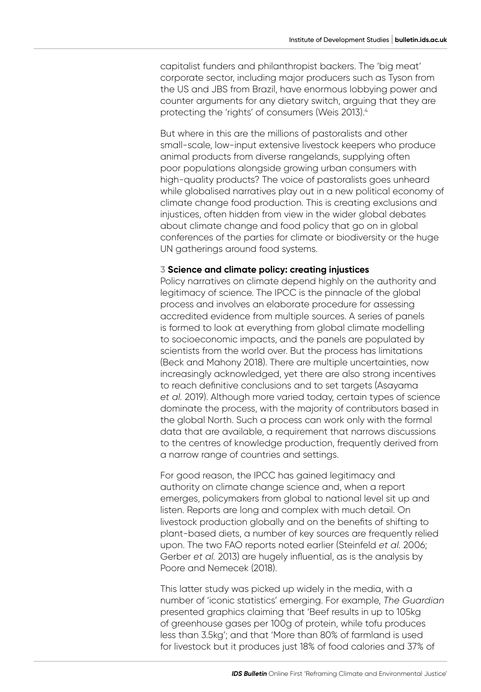capitalist funders and philanthropist backers. The 'big meat' corporate sector, including major producers such as Tyson from the US and JBS from Brazil, have enormous lobbying power and counter arguments for any dietary switch, arguing that they are protecting the 'rights' of consumers (Weis 2013).4

But where in this are the millions of pastoralists and other small-scale, low-input extensive livestock keepers who produce animal products from diverse rangelands, supplying often poor populations alongside growing urban consumers with high-quality products? The voice of pastoralists goes unheard while globalised narratives play out in a new political economy of climate change food production. This is creating exclusions and injustices, often hidden from view in the wider global debates about climate change and food policy that go on in global conferences of the parties for climate or biodiversity or the huge UN gatherings around food systems.

#### **3 Science and climate policy: creating injustices**

Policy narratives on climate depend highly on the authority and legitimacy of science. The IPCC is the pinnacle of the global process and involves an elaborate procedure for assessing accredited evidence from multiple sources. A series of panels is formed to look at everything from global climate modelling to socioeconomic impacts, and the panels are populated by scientists from the world over. But the process has limitations (Beck and Mahony 2018). There are multiple uncertainties, now increasingly acknowledged, yet there are also strong incentives to reach definitive conclusions and to set targets (Asayama *et al.* 2019). Although more varied today, certain types of science dominate the process, with the majority of contributors based in the global North. Such a process can work only with the formal data that are available, a requirement that narrows discussions to the centres of knowledge production, frequently derived from a narrow range of countries and settings.

For good reason, the IPCC has gained legitimacy and authority on climate change science and, when a report emerges, policymakers from global to national level sit up and listen. Reports are long and complex with much detail. On livestock production globally and on the benefits of shifting to plant‑based diets, a number of key sources are frequently relied upon. The two FAO reports noted earlier (Steinfeld *et al.* 2006; Gerber *et al.* 2013) are hugely influential, as is the analysis by Poore and Nemecek (2018).

This latter study was picked up widely in the media, with a number of 'iconic statistics' emerging. For example, *The Guardian* presented graphics claiming that 'Beef results in up to 105kg of greenhouse gases per 100g of protein, while tofu produces less than 3.5kg'; and that 'More than 80% of farmland is used for livestock but it produces just 18% of food calories and 37% of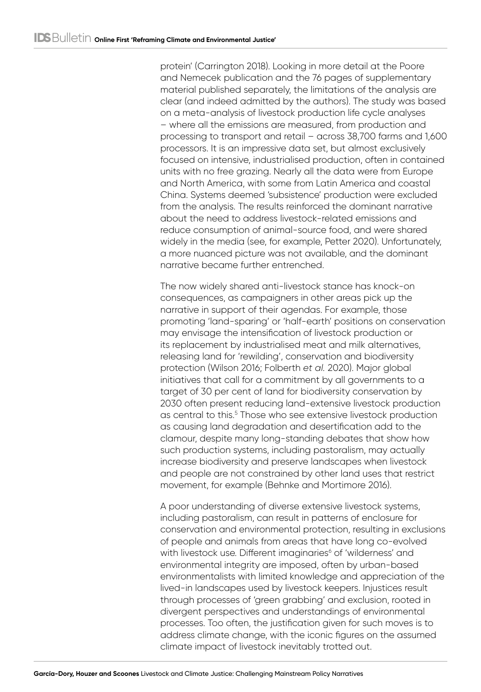protein' (Carrington 2018). Looking in more detail at the Poore and Nemecek publication and the 76 pages of supplementary material published separately, the limitations of the analysis are clear (and indeed admitted by the authors). The study was based on a meta-analysis of livestock production life cycle analyses – where all the emissions are measured, from production and processing to transport and retail – across 38,700 farms and 1,600 processors. It is an impressive data set, but almost exclusively focused on intensive, industrialised production, often in contained units with no free grazing. Nearly all the data were from Europe and North America, with some from Latin America and coastal China. Systems deemed 'subsistence' production were excluded from the analysis. The results reinforced the dominant narrative about the need to address livestock-related emissions and reduce consumption of animal-source food, and were shared widely in the media (see, for example, Petter 2020). Unfortunately, a more nuanced picture was not available, and the dominant narrative became further entrenched.

The now widely shared anti-livestock stance has knock-on consequences, as campaigners in other areas pick up the narrative in support of their agendas. For example, those promoting 'land-sparing' or 'half-earth' positions on conservation may envisage the intensification of livestock production or its replacement by industrialised meat and milk alternatives, releasing land for 'rewilding', conservation and biodiversity protection (Wilson 2016; Folberth *et al.* 2020). Major global initiatives that call for a commitment by all governments to a target of 30 per cent of land for biodiversity conservation by 2030 often present reducing land-extensive livestock production as central to this.<sup>5</sup> Those who see extensive livestock production as causing land degradation and desertification add to the clamour, despite many long-standing debates that show how such production systems, including pastoralism, may actually increase biodiversity and preserve landscapes when livestock and people are not constrained by other land uses that restrict movement, for example (Behnke and Mortimore 2016).

A poor understanding of diverse extensive livestock systems, including pastoralism, can result in patterns of enclosure for conservation and environmental protection, resulting in exclusions of people and animals from areas that have long co-evolved with livestock use. Different imaginaries<sup>6</sup> of 'wilderness' and environmental integrity are imposed, often by urban-based environmentalists with limited knowledge and appreciation of the lived-in landscapes used by livestock keepers. Injustices result through processes of 'green grabbing' and exclusion, rooted in divergent perspectives and understandings of environmental processes. Too often, the justification given for such moves is to address climate change, with the iconic figures on the assumed climate impact of livestock inevitably trotted out.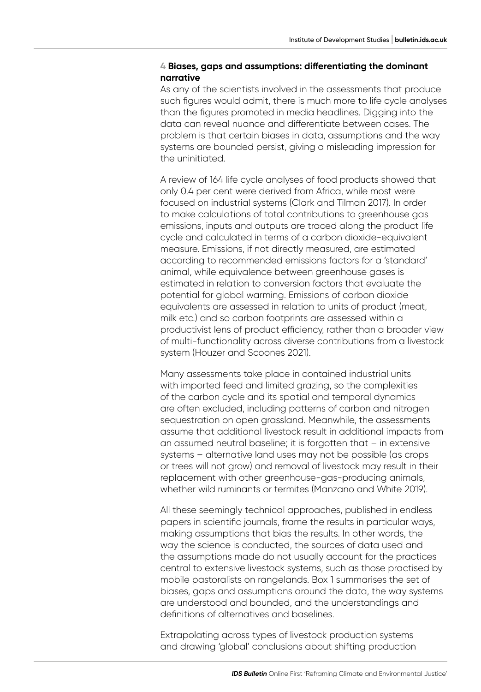## **4 Biases, gaps and assumptions: differentiating the dominant narrative**

As any of the scientists involved in the assessments that produce such figures would admit, there is much more to life cycle analyses than the figures promoted in media headlines. Digging into the data can reveal nuance and differentiate between cases. The problem is that certain biases in data, assumptions and the way systems are bounded persist, giving a misleading impression for the uninitiated.

A review of 164 life cycle analyses of food products showed that only 0.4 per cent were derived from Africa, while most were focused on industrial systems (Clark and Tilman 2017). In order to make calculations of total contributions to greenhouse gas emissions, inputs and outputs are traced along the product life cycle and calculated in terms of a carbon dioxide-equivalent measure. Emissions, if not directly measured, are estimated according to recommended emissions factors for a 'standard' animal, while equivalence between greenhouse gases is estimated in relation to conversion factors that evaluate the potential for global warming. Emissions of carbon dioxide equivalents are assessed in relation to units of product (meat, milk etc.) and so carbon footprints are assessed within a productivist lens of product efficiency, rather than a broader view of multi-functionality across diverse contributions from a livestock system (Houzer and Scoones 2021).

Many assessments take place in contained industrial units with imported feed and limited grazing, so the complexities of the carbon cycle and its spatial and temporal dynamics are often excluded, including patterns of carbon and nitrogen sequestration on open grassland. Meanwhile, the assessments assume that additional livestock result in additional impacts from an assumed neutral baseline; it is forgotten that – in extensive systems – alternative land uses may not be possible (as crops or trees will not grow) and removal of livestock may result in their replacement with other greenhouse-gas-producing animals, whether wild ruminants or termites (Manzano and White 2019).

All these seemingly technical approaches, published in endless papers in scientific journals, frame the results in particular ways, making assumptions that bias the results. In other words, the way the science is conducted, the sources of data used and the assumptions made do not usually account for the practices central to extensive livestock systems, such as those practised by mobile pastoralists on rangelands. Box 1 summarises the set of biases, gaps and assumptions around the data, the way systems are understood and bounded, and the understandings and definitions of alternatives and baselines.

Extrapolating across types of livestock production systems and drawing 'global' conclusions about shifting production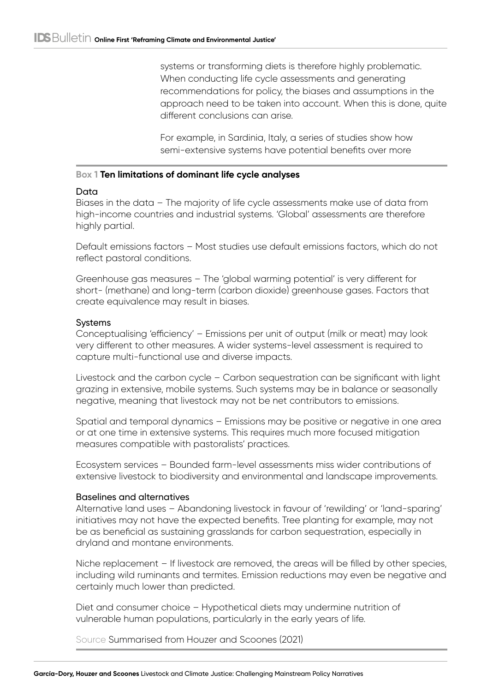systems or transforming diets is therefore highly problematic. When conducting life cycle assessments and generating recommendations for policy, the biases and assumptions in the approach need to be taken into account. When this is done, quite different conclusions can arise.

For example, in Sardinia, Italy, a series of studies show how semi-extensive systems have potential benefits over more

## **Box 1 Ten limitations of dominant life cycle analyses**

## Data

Biases in the data – The majority of life cycle assessments make use of data from high-income countries and industrial systems. 'Global' assessments are therefore highly partial.

Default emissions factors – Most studies use default emissions factors, which do not reflect pastoral conditions.

Greenhouse gas measures – The 'global warming potential' is very different for short- (methane) and long-term (carbon dioxide) greenhouse gases. Factors that create equivalence may result in biases.

## Systems

Conceptualising 'efficiency' – Emissions per unit of output (milk or meat) may look very different to other measures. A wider systems-level assessment is required to capture multi-functional use and diverse impacts.

Livestock and the carbon cycle – Carbon sequestration can be significant with light grazing in extensive, mobile systems. Such systems may be in balance or seasonally negative, meaning that livestock may not be net contributors to emissions.

Spatial and temporal dynamics – Emissions may be positive or negative in one area or at one time in extensive systems. This requires much more focused mitigation measures compatible with pastoralists' practices.

Ecosystem services – Bounded farm-level assessments miss wider contributions of extensive livestock to biodiversity and environmental and landscape improvements.

## Baselines and alternatives

Alternative land uses – Abandoning livestock in favour of 'rewilding' or 'land-sparing' initiatives may not have the expected benefits. Tree planting for example, may not be as beneficial as sustaining grasslands for carbon sequestration, especially in dryland and montane environments.

Niche replacement – If livestock are removed, the areas will be filled by other species, including wild ruminants and termites. Emission reductions may even be negative and certainly much lower than predicted.

Diet and consumer choice – Hypothetical diets may undermine nutrition of vulnerable human populations, particularly in the early years of life.

Source Summarised from Houzer and Scoones (2021)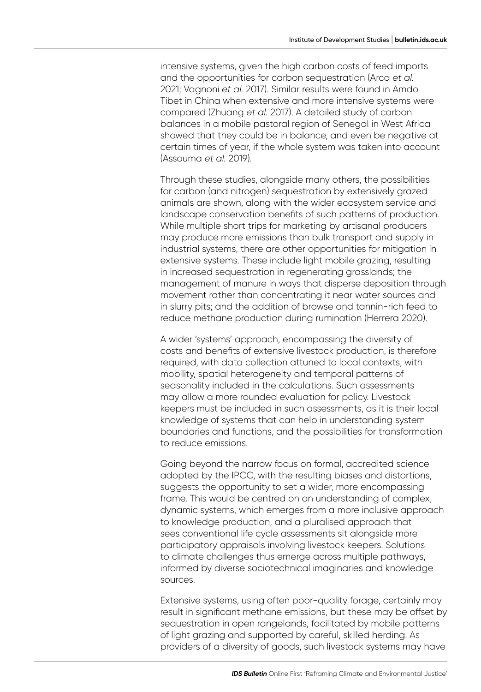intensive systems, given the high carbon costs of feed imports and the opportunities for carbon sequestration (Arca *et al.* 2021; Vagnoni *et al.* 2017). Similar results were found in Amdo Tibet in China when extensive and more intensive systems were compared (Zhuang *et al.* 2017). A detailed study of carbon balances in a mobile pastoral region of Senegal in West Africa showed that they could be in balance, and even be negative at certain times of year, if the whole system was taken into account (Assouma *et al.* 2019).

Through these studies, alongside many others, the possibilities for carbon (and nitrogen) sequestration by extensively grazed animals are shown, along with the wider ecosystem service and landscape conservation benefits of such patterns of production. While multiple short trips for marketing by artisanal producers may produce more emissions than bulk transport and supply in industrial systems, there are other opportunities for mitigation in extensive systems. These include light mobile grazing, resulting in increased sequestration in regenerating grasslands; the management of manure in ways that disperse deposition through movement rather than concentrating it near water sources and in slurry pits; and the addition of browse and tannin-rich feed to reduce methane production during rumination (Herrera 2020).

A wider 'systems' approach, encompassing the diversity of costs and benefits of extensive livestock production, is therefore required, with data collection attuned to local contexts, with mobility, spatial heterogeneity and temporal patterns of seasonality included in the calculations. Such assessments may allow a more rounded evaluation for policy. Livestock keepers must be included in such assessments, as it is their local knowledge of systems that can help in understanding system boundaries and functions, and the possibilities for transformation to reduce emissions.

Going beyond the narrow focus on formal, accredited science adopted by the IPCC, with the resulting biases and distortions, suggests the opportunity to set a wider, more encompassing frame. This would be centred on an understanding of complex, dynamic systems, which emerges from a more inclusive approach to knowledge production, and a pluralised approach that sees conventional life cycle assessments sit alongside more participatory appraisals involving livestock keepers. Solutions to climate challenges thus emerge across multiple pathways, informed by diverse sociotechnical imaginaries and knowledge sources.

Extensive systems, using often poor-quality forage, certainly may result in significant methane emissions, but these may be offset by sequestration in open rangelands, facilitated by mobile patterns of light grazing and supported by careful, skilled herding. As providers of a diversity of goods, such livestock systems may have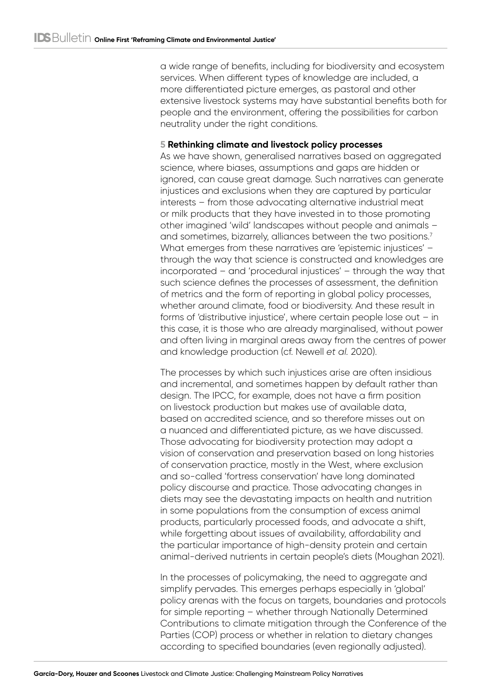a wide range of benefits, including for biodiversity and ecosystem services. When different types of knowledge are included, a more differentiated picture emerges, as pastoral and other extensive livestock systems may have substantial benefits both for people and the environment, offering the possibilities for carbon neutrality under the right conditions.

## **5 Rethinking climate and livestock policy processes**

As we have shown, generalised narratives based on aggregated science, where biases, assumptions and gaps are hidden or ignored, can cause great damage. Such narratives can generate injustices and exclusions when they are captured by particular interests – from those advocating alternative industrial meat or milk products that they have invested in to those promoting other imagined 'wild' landscapes without people and animals – and sometimes, bizarrely, alliances between the two positions.<sup>7</sup> What emerges from these narratives are 'epistemic injustices' – through the way that science is constructed and knowledges are incorporated – and 'procedural injustices' – through the way that such science defines the processes of assessment, the definition of metrics and the form of reporting in global policy processes, whether around climate, food or biodiversity. And these result in forms of 'distributive injustice', where certain people lose out – in this case, it is those who are already marginalised, without power and often living in marginal areas away from the centres of power and knowledge production (cf. Newell *et al.* 2020).

The processes by which such injustices arise are often insidious and incremental, and sometimes happen by default rather than design. The IPCC, for example, does not have a firm position on livestock production but makes use of available data, based on accredited science, and so therefore misses out on a nuanced and differentiated picture, as we have discussed. Those advocating for biodiversity protection may adopt a vision of conservation and preservation based on long histories of conservation practice, mostly in the West, where exclusion and so-called 'fortress conservation' have long dominated policy discourse and practice. Those advocating changes in diets may see the devastating impacts on health and nutrition in some populations from the consumption of excess animal products, particularly processed foods, and advocate a shift, while forgetting about issues of availability, affordability and the particular importance of high-density protein and certain animal‑derived nutrients in certain people's diets (Moughan 2021).

In the processes of policymaking, the need to aggregate and simplify pervades. This emerges perhaps especially in 'global' policy arenas with the focus on targets, boundaries and protocols for simple reporting – whether through Nationally Determined Contributions to climate mitigation through the Conference of the Parties (COP) process or whether in relation to dietary changes according to specified boundaries (even regionally adjusted).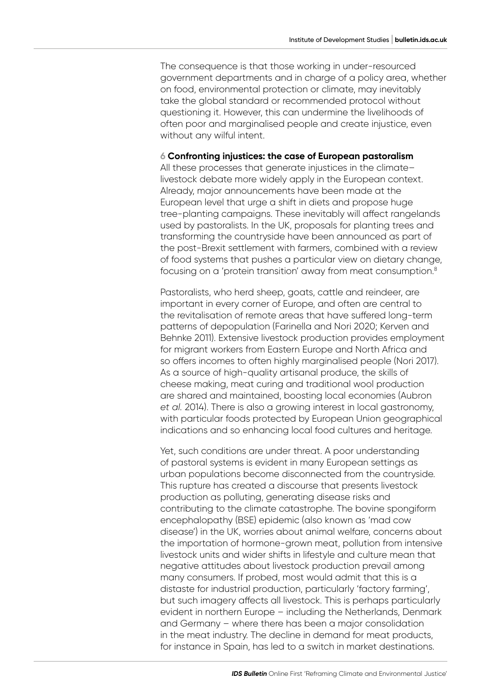The consequence is that those working in under-resourced government departments and in charge of a policy area, whether on food, environmental protection or climate, may inevitably take the global standard or recommended protocol without questioning it. However, this can undermine the livelihoods of often poor and marginalised people and create injustice, even without any wilful intent.

#### **6 Confronting injustices: the case of European pastoralism**

All these processes that generate injustices in the climate– livestock debate more widely apply in the European context. Already, major announcements have been made at the European level that urge a shift in diets and propose huge tree‑planting campaigns. These inevitably will affect rangelands used by pastoralists. In the UK, proposals for planting trees and transforming the countryside have been announced as part of the post-Brexit settlement with farmers, combined with a review of food systems that pushes a particular view on dietary change, focusing on a 'protein transition' away from meat consumption.8

Pastoralists, who herd sheep, goats, cattle and reindeer, are important in every corner of Europe, and often are central to the revitalisation of remote areas that have suffered long-term patterns of depopulation (Farinella and Nori 2020; Kerven and Behnke 2011). Extensive livestock production provides employment for migrant workers from Eastern Europe and North Africa and so offers incomes to often highly marginalised people (Nori 2017). As a source of high-quality artisanal produce, the skills of cheese making, meat curing and traditional wool production are shared and maintained, boosting local economies (Aubron *et al.* 2014). There is also a growing interest in local gastronomy, with particular foods protected by European Union geographical indications and so enhancing local food cultures and heritage.

Yet, such conditions are under threat. A poor understanding of pastoral systems is evident in many European settings as urban populations become disconnected from the countryside. This rupture has created a discourse that presents livestock production as polluting, generating disease risks and contributing to the climate catastrophe. The bovine spongiform encephalopathy (BSE) epidemic (also known as 'mad cow disease') in the UK, worries about animal welfare, concerns about the importation of hormone-grown meat, pollution from intensive livestock units and wider shifts in lifestyle and culture mean that negative attitudes about livestock production prevail among many consumers. If probed, most would admit that this is a distaste for industrial production, particularly 'factory farming', but such imagery affects all livestock. This is perhaps particularly evident in northern Europe – including the Netherlands, Denmark and Germany – where there has been a major consolidation in the meat industry. The decline in demand for meat products, for instance in Spain, has led to a switch in market destinations.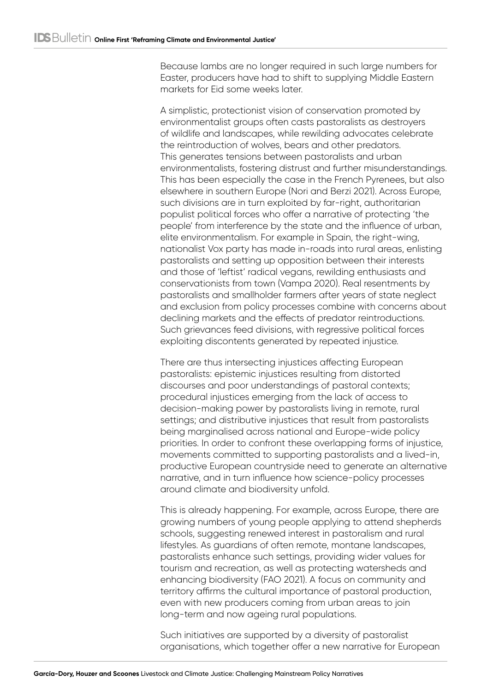Because lambs are no longer required in such large numbers for Easter, producers have had to shift to supplying Middle Eastern markets for Eid some weeks later.

A simplistic, protectionist vision of conservation promoted by environmentalist groups often casts pastoralists as destroyers of wildlife and landscapes, while rewilding advocates celebrate the reintroduction of wolves, bears and other predators. This generates tensions between pastoralists and urban environmentalists, fostering distrust and further misunderstandings. This has been especially the case in the French Pyrenees, but also elsewhere in southern Europe (Nori and Berzi 2021). Across Europe, such divisions are in turn exploited by far-right, authoritarian populist political forces who offer a narrative of protecting 'the people' from interference by the state and the influence of urban, elite environmentalism. For example in Spain, the right-wing, nationalist Vox party has made in-roads into rural areas, enlisting pastoralists and setting up opposition between their interests and those of 'leftist' radical vegans, rewilding enthusiasts and conservationists from town (Vampa 2020). Real resentments by pastoralists and smallholder farmers after years of state neglect and exclusion from policy processes combine with concerns about declining markets and the effects of predator reintroductions. Such grievances feed divisions, with regressive political forces exploiting discontents generated by repeated injustice.

There are thus intersecting injustices affecting European pastoralists: epistemic injustices resulting from distorted discourses and poor understandings of pastoral contexts; procedural injustices emerging from the lack of access to decision-making power by pastoralists living in remote, rural settings; and distributive injustices that result from pastoralists being marginalised across national and Europe-wide policy priorities. In order to confront these overlapping forms of injustice, movements committed to supporting pastoralists and a lived-in, productive European countryside need to generate an alternative narrative, and in turn influence how science-policy processes around climate and biodiversity unfold.

This is already happening. For example, across Europe, there are growing numbers of young people applying to attend shepherds schools, suggesting renewed interest in pastoralism and rural lifestyles. As guardians of often remote, montane landscapes, pastoralists enhance such settings, providing wider values for tourism and recreation, as well as protecting watersheds and enhancing biodiversity (FAO 2021). A focus on community and territory affirms the cultural importance of pastoral production, even with new producers coming from urban areas to join long‑term and now ageing rural populations.

Such initiatives are supported by a diversity of pastoralist organisations, which together offer a new narrative for European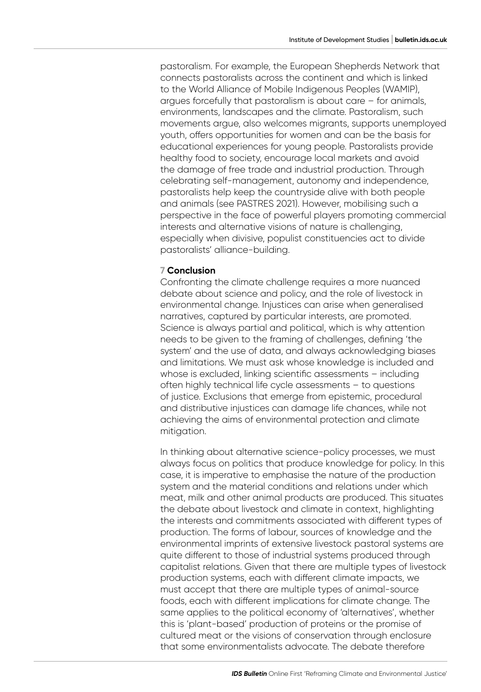pastoralism. For example, the European Shepherds Network that connects pastoralists across the continent and which is linked to the World Alliance of Mobile Indigenous Peoples (WAMIP), argues forcefully that pastoralism is about care – for animals, environments, landscapes and the climate. Pastoralism, such movements argue, also welcomes migrants, supports unemployed youth, offers opportunities for women and can be the basis for educational experiences for young people. Pastoralists provide healthy food to society, encourage local markets and avoid the damage of free trade and industrial production. Through celebrating self-management, autonomy and independence, pastoralists help keep the countryside alive with both people and animals (see PASTRES 2021). However, mobilising such a perspective in the face of powerful players promoting commercial interests and alternative visions of nature is challenging, especially when divisive, populist constituencies act to divide pastoralists' alliance-building.

## **7 Conclusion**

Confronting the climate challenge requires a more nuanced debate about science and policy, and the role of livestock in environmental change. Injustices can arise when generalised narratives, captured by particular interests, are promoted. Science is always partial and political, which is why attention needs to be given to the framing of challenges, defining 'the system' and the use of data, and always acknowledging biases and limitations. We must ask whose knowledge is included and whose is excluded, linking scientific assessments – including often highly technical life cycle assessments – to questions of justice. Exclusions that emerge from epistemic, procedural and distributive injustices can damage life chances, while not achieving the aims of environmental protection and climate mitigation.

In thinking about alternative science-policy processes, we must always focus on politics that produce knowledge for policy. In this case, it is imperative to emphasise the nature of the production system and the material conditions and relations under which meat, milk and other animal products are produced. This situates the debate about livestock and climate in context, highlighting the interests and commitments associated with different types of production. The forms of labour, sources of knowledge and the environmental imprints of extensive livestock pastoral systems are quite different to those of industrial systems produced through capitalist relations. Given that there are multiple types of livestock production systems, each with different climate impacts, we must accept that there are multiple types of animal-source foods, each with different implications for climate change. The same applies to the political economy of 'alternatives', whether this is 'plant-based' production of proteins or the promise of cultured meat or the visions of conservation through enclosure that some environmentalists advocate. The debate therefore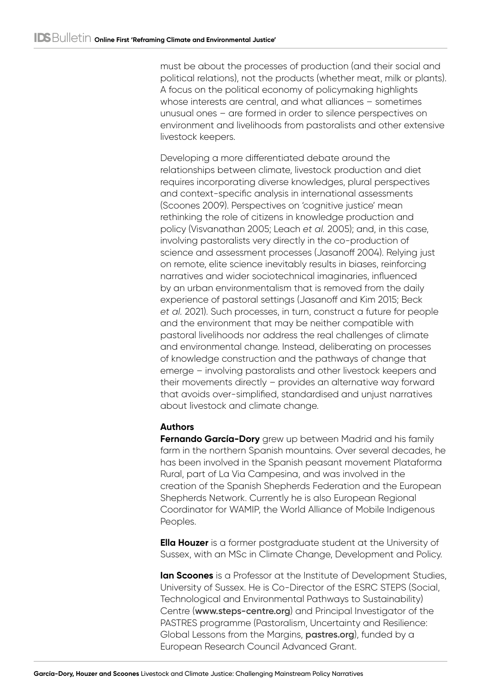must be about the processes of production (and their social and political relations), not the products (whether meat, milk or plants). A focus on the political economy of policymaking highlights whose interests are central, and what alliances – sometimes unusual ones – are formed in order to silence perspectives on environment and livelihoods from pastoralists and other extensive livestock keepers.

Developing a more differentiated debate around the relationships between climate, livestock production and diet requires incorporating diverse knowledges, plural perspectives and context-specific analysis in international assessments (Scoones 2009). Perspectives on 'cognitive justice' mean rethinking the role of citizens in knowledge production and policy (Visvanathan 2005; Leach *et al.* 2005); and, in this case, involving pastoralists very directly in the co-production of science and assessment processes (Jasanoff 2004). Relying just on remote, elite science inevitably results in biases, reinforcing narratives and wider sociotechnical imaginaries, influenced by an urban environmentalism that is removed from the daily experience of pastoral settings (Jasanoff and Kim 2015; Beck *et al.* 2021). Such processes, in turn, construct a future for people and the environment that may be neither compatible with pastoral livelihoods nor address the real challenges of climate and environmental change. Instead, deliberating on processes of knowledge construction and the pathways of change that emerge – involving pastoralists and other livestock keepers and their movements directly – provides an alternative way forward that avoids over-simplified, standardised and unjust narratives about livestock and climate change.

# **Authors**

**Fernando García-Dory** grew up between Madrid and his family farm in the northern Spanish mountains. Over several decades, he has been involved in the Spanish peasant movement Plataforma Rural, part of La Via Campesina, and was involved in the creation of the Spanish Shepherds Federation and the European Shepherds Network. Currently he is also European Regional Coordinator for WAMIP, the World Alliance of Mobile Indigenous Peoples.

**Ella Houzer** is a former postgraduate student at the University of Sussex, with an MSc in Climate Change, Development and Policy.

**Ian Scoones** is a Professor at the Institute of Development Studies, University of Sussex. He is Co-Director of the ESRC STEPS (Social, Technological and Environmental Pathways to Sustainability) Centre (**[www.steps-centre.org](http://www.steps-centre.org)**) and Principal Investigator of the PASTRES programme (Pastoralism, Uncertainty and Resilience: Global Lessons from the Margins, **[pastres.org](http://pastres.org)**), funded by a European Research Council Advanced Grant.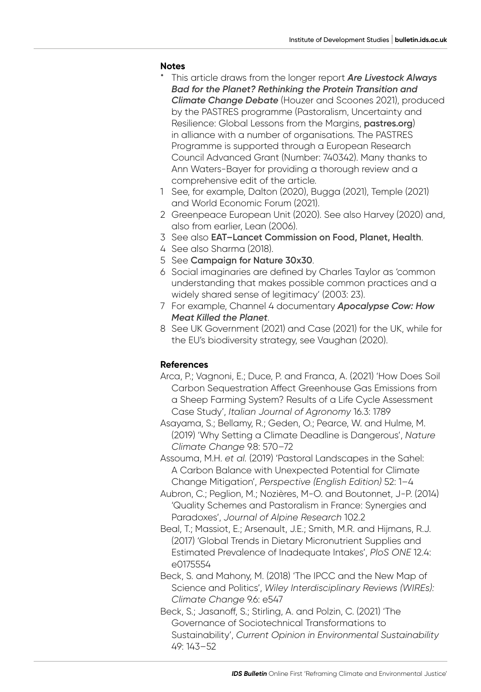#### **Notes**

- \* This article draws from the longer report *[Are Livestock Always](https://pastres.org/livestock-report/)  [Bad for the Planet? Rethinking the Protein Transition and](https://pastres.org/livestock-report/)  [Climate Change Debate](https://pastres.org/livestock-report/)* (Houzer and Scoones 2021), produced by the PASTRES programme (Pastoralism, Uncertainty and Resilience: Global Lessons from the Margins, **[pastres.org](https://pastres.org/)**) in alliance with a number of organisations. The PASTRES Programme is supported through a European Research Council Advanced Grant (Number: 740342). Many thanks to Ann Waters-Bayer for providing a thorough review and a comprehensive edit of the article.
- 1 See, for example, Dalton (2020), Bugga (2021), Temple (2021) and World Economic Forum (2021).
- 2 Greenpeace European Unit (2020). See also Harvey (2020) and, also from earlier, Lean (2006).
- 3 See also **[EAT–Lancet Commission on Food, Planet, Health](https://eatforum.org/eat-lancet-commission/)**.
- 4 See also Sharma (2018).
- 5 See **[Campaign for Nature 30x30](https://www.campaignfornature.org/news/category/30x30)**.
- 6 Social imaginaries are defined by Charles Taylor as 'common understanding that makes possible common practices and a widely shared sense of legitimacy' (2003: 23).
- 7 For example, Channel 4 documentary *[Apocalypse Cow: How](https://www.channel4.com/programmes/apocalypse-cow-how-meat-killed-the-planet)  [Meat Killed the Planet](https://www.channel4.com/programmes/apocalypse-cow-how-meat-killed-the-planet)*.
- 8 See UK Government (2021) and Case (2021) for the UK, while for the EU's biodiversity strategy, see Vaughan (2020).

#### **References**

- Arca, P.; Vagnoni, E.; Duce, P. and Franca, A. (2021) 'How Does Soil Carbon Sequestration Affect Greenhouse Gas Emissions from a Sheep Farming System? Results of a Life Cycle Assessment Case Study', *Italian Journal of Agronomy* 16.3: 1789
- Asayama, S.; Bellamy, R.; Geden, O.; Pearce, W. and Hulme, M. (2019) 'Why Setting a Climate Deadline is Dangerous', *Nature Climate Change* 9.8: 570–72
- Assouma, M.H. *et al.* (2019) 'Pastoral Landscapes in the Sahel: A Carbon Balance with Unexpected Potential for Climate Change Mitigation', *Perspective (English Edition)* 52: 1–4
- Aubron, C.; Peglion, M.; Nozières, M-O. and Boutonnet, J-P. (2014) 'Quality Schemes and Pastoralism in France: Synergies and Paradoxes', *Journal of Alpine Research* 102.2
- Beal, T.; Massiot, E.; Arsenault, J.E.; Smith, M.R. and Hijmans, R.J. (2017) 'Global Trends in Dietary Micronutrient Supplies and Estimated Prevalence of Inadequate Intakes', *PloS ONE* 12.4: e0175554
- Beck, S. and Mahony, M. (2018) 'The IPCC and the New Map of Science and Politics', *Wiley Interdisciplinary Reviews (WIREs): Climate Change* 9.6: e547
- Beck, S.; Jasanoff, S.; Stirling, A. and Polzin, C. (2021) 'The Governance of Sociotechnical Transformations to Sustainability', *Current Opinion in Environmental Sustainability* 49: 143–52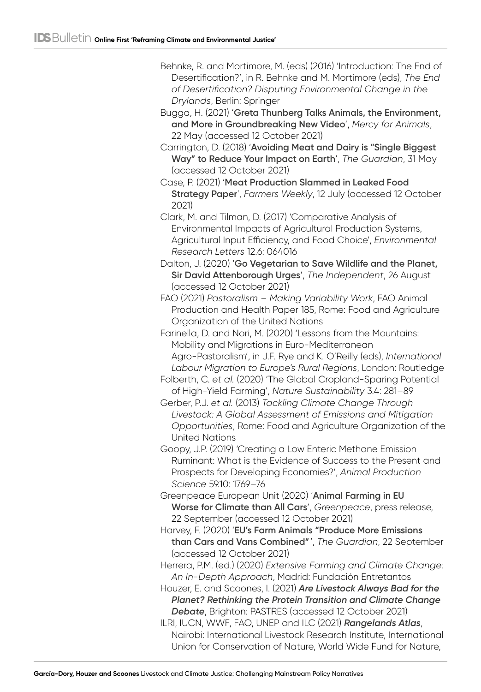- Behnke, R. and Mortimore, M. (eds) (2016) 'Introduction: The End of Desertification?', in R. Behnke and M. Mortimore (eds), *The End of Desertification? Disputing Environmental Change in the Drylands*, Berlin: Springer
- Bugga, H. (2021) '**[Greta Thunberg Talks Animals, the Environment,](https://mercyforanimals.org/blog/greta-thunberg-animals-environment/)  [and More in Groundbreaking New Video](https://mercyforanimals.org/blog/greta-thunberg-animals-environment/)**', *Mercy for Animals*, 22 May (accessed 12 October 2021)
- Carrington, D. (2018) '**[Avoiding Meat and Dairy is "Single Biggest](https://www.theguardian.com/environment/2018/may/31/avoiding-meat-and-dairy-is-single-biggest-way-to-reduce-your-impact-on-earth)  [Way" to Reduce Your Impact on Earth](https://www.theguardian.com/environment/2018/may/31/avoiding-meat-and-dairy-is-single-biggest-way-to-reduce-your-impact-on-earth)**', *The Guardian*, 31 May (accessed 12 October 2021)
- Case, P. (2021) '**[Meat Production Slammed in Leaked Food](https://www.fwi.co.uk/news/farm-policy/meat-production-slammed-in-leaked-food-strategy-paper)  [Strategy Paper](https://www.fwi.co.uk/news/farm-policy/meat-production-slammed-in-leaked-food-strategy-paper)**', *Farmers Weekly*, 12 July (accessed 12 October 2021)
- Clark, M. and Tilman, D. (2017) 'Comparative Analysis of Environmental Impacts of Agricultural Production Systems, Agricultural Input Efficiency, and Food Choice', *Environmental Research Letters* 12.6: 064016
- Dalton, J. (2020) '**[Go Vegetarian to Save Wildlife and the Planet,](https://www.independent.co.uk/climate-change/news/david-attenborough-vegetarian-vegan-meat-life-on-our-planet-netflix-wildlife-earth-a9689816.html)  [Sir David Attenborough Urges](https://www.independent.co.uk/climate-change/news/david-attenborough-vegetarian-vegan-meat-life-on-our-planet-netflix-wildlife-earth-a9689816.html)**', *The Independent*, 26 August (accessed 12 October 2021)
- FAO (2021) *Pastoralism Making Variability Work*, FAO Animal Production and Health Paper 185, Rome: Food and Agriculture Organization of the United Nations
- Farinella, D. and Nori, M. (2020) 'Lessons from the Mountains: Mobility and Migrations in Euro-Mediterranean Agro‑Pastoralism', in J.F. Rye and K. O'Reilly (eds), *International Labour Migration to Europe's Rural Regions*, London: Routledge
- Folberth, C. *et al.* (2020) 'The Global Cropland-Sparing Potential of High-Yield Farming', *Nature Sustainability* 3.4: 281–89
- Gerber, P.J. *et al.* (2013) *Tackling Climate Change Through Livestock: A Global Assessment of Emissions and Mitigation Opportunities*, Rome: Food and Agriculture Organization of the United Nations
- Goopy, J.P. (2019) 'Creating a Low Enteric Methane Emission Ruminant: What is the Evidence of Success to the Present and Prospects for Developing Economies?', *Animal Production Science* 59.10: 1769–76
- Greenpeace European Unit (2020) '**[Animal Farming in EU](https://www.greenpeace.org/eu-unit/issues/nature-food/45051/animal-farming-in-eu-worse-for-climate-than-all-cars/)  [Worse for Climate than All Cars](https://www.greenpeace.org/eu-unit/issues/nature-food/45051/animal-farming-in-eu-worse-for-climate-than-all-cars/)**', *Greenpeace*, press release, 22 September (accessed 12 October 2021)
- Harvey, F. (2020) '**[EU's Farm Animals "Produce More Emissions](https://www.theguardian.com/environment/2020/sep/22/eu-farm-animals-produce-more-emissions-than-cars-and-vans-combined-greenpeace)  [than Cars and Vans Combined"](https://www.theguardian.com/environment/2020/sep/22/eu-farm-animals-produce-more-emissions-than-cars-and-vans-combined-greenpeace)** ', *The Guardian*, 22 September (accessed 12 October 2021)
- Herrera, P.M. (ed.) (2020) *Extensive Farming and Climate Change: An In-Depth Approach*, Madrid: Fundación Entretantos
- Houzer, E. and Scoones, I. (2021) *[Are Livestock Always Bad for the](https://pastres.org/livestock-report/)  [Planet? Rethinking the Protein Transition and Climate Change](https://pastres.org/livestock-report/)  [Debate](https://pastres.org/livestock-report/)*, Brighton: PASTRES (accessed 12 October 2021)
- ILRI, IUCN, WWF, FAO, UNEP and ILC (2021) *[Rangelands Atlas](https://cgspace.cgiar.org/handle/10568/114064)*, Nairobi: International Livestock Research Institute, International Union for Conservation of Nature, World Wide Fund for Nature,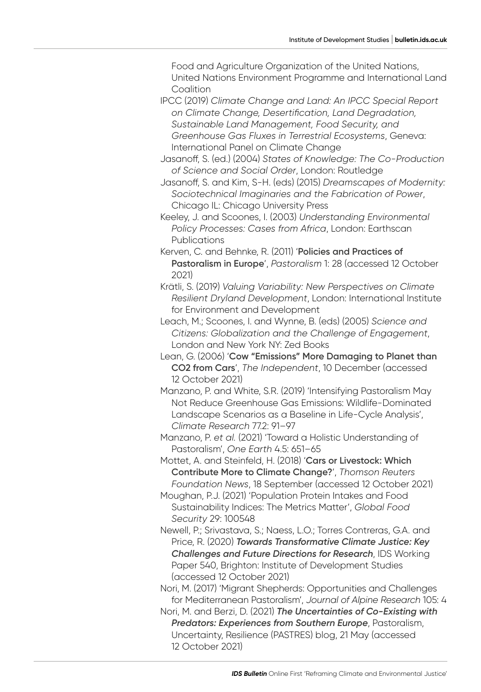Food and Agriculture Organization of the United Nations, United Nations Environment Programme and International Land **Coalition** 

IPCC (2019) *Climate Change and Land: An IPCC Special Report on Climate Change, Desertification, Land Degradation, Sustainable Land Management, Food Security, and Greenhouse Gas Fluxes in Terrestrial Ecosystems*, Geneva: International Panel on Climate Change

Jasanoff, S. (ed.) (2004) *States of Knowledge: The Co-Production of Science and Social Order*, London: Routledge

Jasanoff, S. and Kim, S-H. (eds) (2015) *Dreamscapes of Modernity: Sociotechnical Imaginaries and the Fabrication of Power*, Chicago IL: Chicago University Press

Keeley, J. and Scoones, I. (2003) *Understanding Environmental Policy Processes: Cases from Africa*, London: Earthscan Publications

Kerven, C. and Behnke, R. (2011) '**[Policies and Practices of](https://doi.org/10.1186/2041-7136-1-28)  [Pastoralism in Europe](https://doi.org/10.1186/2041-7136-1-28)**', *Pastoralism* 1: 28 (accessed 12 October 2021)

Krätli, S. (2019) *Valuing Variability: New Perspectives on Climate Resilient Dryland Development*, London: International Institute for Environment and Development

Leach, M.; Scoones, I. and Wynne, B. (eds) (2005) *Science and Citizens: Globalization and the Challenge of Engagement*, London and New York NY: Zed Books

Lean, G. (2006) '**[Cow "Emissions" More Damaging to Planet than](https://www.independent.co.uk/climate-change/news/cow-emissions-more-damaging-to-planet-than-co2-from-cars-427843.html)  [CO2 from Cars](https://www.independent.co.uk/climate-change/news/cow-emissions-more-damaging-to-planet-than-co2-from-cars-427843.html)**', *The Independent*, 10 December (accessed 12 October 2021)

Manzano, P. and White, S.R. (2019) 'Intensifying Pastoralism May Not Reduce Greenhouse Gas Emissions: Wildlife-Dominated Landscape Scenarios as a Baseline in Life-Cycle Analysis', *Climate Research* 77.2: 91–97

Manzano, P. *et al.* (2021) 'Toward a Holistic Understanding of Pastoralism', *One Earth* 4.5: 651–65

Mottet, A. and Steinfeld, H. (2018) '**[Cars or Livestock: Which](https://news.trust.org/item/20180918083629-d2wf0)  [Contribute More to Climate Change?](https://news.trust.org/item/20180918083629-d2wf0)**', *Thomson Reuters Foundation News*, 18 September (accessed 12 October 2021)

Moughan, P.J. (2021) 'Population Protein Intakes and Food Sustainability Indices: The Metrics Matter', *Global Food Security* 29: 100548

Newell, P.; Srivastava, S.; Naess, L.O.; Torres Contreras, G.A. and Price, R. (2020) *[Towards Transformative Climate Justice: Key](https://www.ids.ac.uk/publications/towards-transformative-climate-justice/)  [Challenges and Future Directions for Research](https://www.ids.ac.uk/publications/towards-transformative-climate-justice/)*, IDS Working Paper 540, Brighton: Institute of Development Studies (accessed 12 October 2021)

Nori, M. (2017) 'Migrant Shepherds: Opportunities and Challenges for Mediterranean Pastoralism', *Journal of Alpine Research* 105: 4

Nori, M. and Berzi, D. (2021) *[The Uncertainties of Co-Existing with](https://pastres.org/2021/05/21/the-uncertainties-of-co-existing-with-predators-experiences-from-southern-europe/)  [Predators: Experiences from Southern Europe](https://pastres.org/2021/05/21/the-uncertainties-of-co-existing-with-predators-experiences-from-southern-europe/)*, Pastoralism, Uncertainty, Resilience (PASTRES) blog, 21 May (accessed 12 October 2021)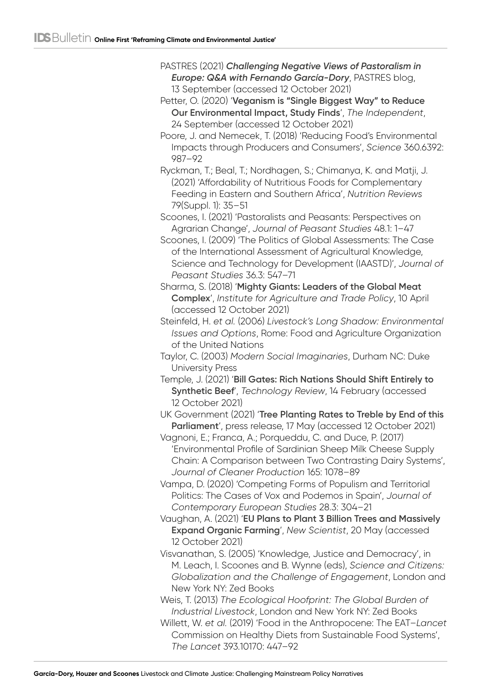- PASTRES (2021) *[Challenging Negative Views of Pastoralism in](https://pastres.org/2021/09/13/challenging-negative-views-of-pastoralism-in-europe-qampa-with-fernando-garcia-dory/)  [Europe: Q&A with Fernando García-Dory](https://pastres.org/2021/09/13/challenging-negative-views-of-pastoralism-in-europe-qampa-with-fernando-garcia-dory/)*, PASTRES blog, 13 September (accessed 12 October 2021)
- Petter, O. (2020) '**[Veganism is "Single Biggest Way" to Reduce](https://www.independent.co.uk/life-style/health-and-families/veganism-environmental-impact-planet-reduced-plant-based-diet-humans-study-a8378631.html)  [Our Environmental Impact, Study Finds](https://www.independent.co.uk/life-style/health-and-families/veganism-environmental-impact-planet-reduced-plant-based-diet-humans-study-a8378631.html)**', *The Independent*, 24 September (accessed 12 October 2021)
- Poore, J. and Nemecek, T. (2018) 'Reducing Food's Environmental Impacts through Producers and Consumers', *Science* 360.6392: 987–92
- Ryckman, T.; Beal, T.; Nordhagen, S.; Chimanya, K. and Matji, J. (2021) 'Affordability of Nutritious Foods for Complementary Feeding in Eastern and Southern Africa', *Nutrition Reviews* 79(Suppl. 1): 35–51
- Scoones, I. (2021) 'Pastoralists and Peasants: Perspectives on Agrarian Change', *Journal of Peasant Studies* 48.1: 1–47
- Scoones, I. (2009) 'The Politics of Global Assessments: The Case of the International Assessment of Agricultural Knowledge, Science and Technology for Development (IAASTD)', *Journal of Peasant Studies* 36.3: 547–71
- Sharma, S. (2018) '**[Mighty Giants: Leaders of the Global Meat](https://www.iatp.org/blog/leaders-global-meat-complex)  [Complex](https://www.iatp.org/blog/leaders-global-meat-complex)**', *Institute for Agriculture and Trade Policy*, 10 April (accessed 12 October 2021)
- Steinfeld, H. *et al.* (2006) *Livestock's Long Shadow: Environmental Issues and Options*, Rome: Food and Agriculture Organization of the United Nations
- Taylor, C. (2003) *Modern Social Imaginaries*, Durham NC: Duke University Press
- Temple, J. (2021) '**[Bill Gates: Rich Nations Should Shift Entirely to](https://www.technologyreview.com/2021/02/14/1018296/bill-gates-climate-change-beef-trees-microsoft/)  [Synthetic Beef](https://www.technologyreview.com/2021/02/14/1018296/bill-gates-climate-change-beef-trees-microsoft/)**', *Technology Review*, 14 February (accessed 12 October 2021)

UK Government (2021) '**[Tree Planting Rates to Treble by End of this](https://www.gov.uk/government/news/tree-planting-rates-to-treble-by-end-of-this-parliament)  [Parliament](https://www.gov.uk/government/news/tree-planting-rates-to-treble-by-end-of-this-parliament)**', press release, 17 May (accessed 12 October 2021)

- Vagnoni, E.; Franca, A.; Porqueddu, C. and Duce, P. (2017) 'Environmental Profile of Sardinian Sheep Milk Cheese Supply Chain: A Comparison between Two Contrasting Dairy Systems', *Journal of Cleaner Production* 165: 1078–89
- Vampa, D. (2020) 'Competing Forms of Populism and Territorial Politics: The Cases of Vox and Podemos in Spain', *Journal of Contemporary European Studies* 28.3: 304–21
- Vaughan, A. (2021) '**[EU Plans to Plant 3 Billion Trees and Massively](https://www.newscientist.com/article/2244115-eu-plans-to-plant-3-billion-trees-and-massively-expand-organic-farming/)  [Expand Organic Farming](https://www.newscientist.com/article/2244115-eu-plans-to-plant-3-billion-trees-and-massively-expand-organic-farming/)**', *New Scientist*, 20 May (accessed 12 October 2021)
- Visvanathan, S. (2005) 'Knowledge, Justice and Democracy', in M. Leach, I. Scoones and B. Wynne (eds), *Science and Citizens: Globalization and the Challenge of Engagement*, London and New York NY: Zed Books
- Weis, T. (2013) *The Ecological Hoofprint: The Global Burden of Industrial Livestock*, London and New York NY: Zed Books
- Willett, W. *et al.* (2019) 'Food in the Anthropocene: The EAT–*Lancet* Commission on Healthy Diets from Sustainable Food Systems', *The Lancet* 393.10170: 447–92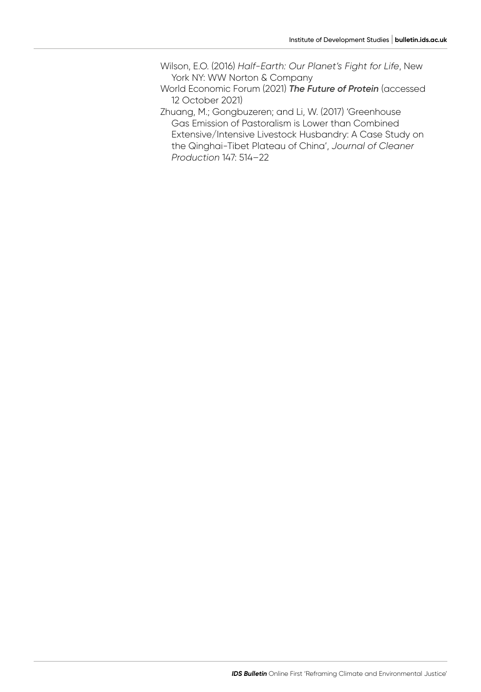Wilson, E.O. (2016) *Half-Earth: Our Planet's Fight for Life*, New York NY: WW Norton & Company

- World Economic Forum (2021) *[The Future of Protein](https://www.weforum.org/projects/meat-the-future)* (accessed 12 October 2021)
- Zhuang, M.; Gongbuzeren; and Li, W. (2017) 'Greenhouse Gas Emission of Pastoralism is Lower than Combined Extensive/Intensive Livestock Husbandry: A Case Study on the Qinghai‑Tibet Plateau of China', *Journal of Cleaner Production* 147: 514–22